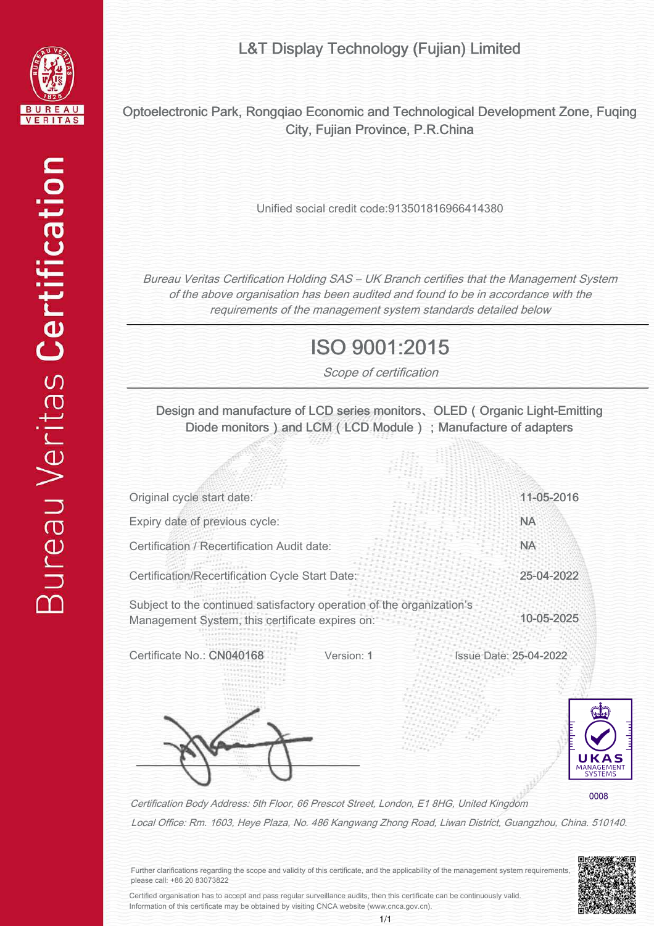

L&T Display Technology (Fujian) Limited

Optoelectronic Park, Rongqiao Economic and Technological Development Zone, Fuqing City, Fujian Province, P.R.China

Unified social credit code:913501816966414380

Bureau Veritas Certification Holding SAS – UK Branch certifies that the Management System of the above organisation has been audited and found to be in accordance with the requirements of the management system standards detailed below

## ISO 9001:2015

Scope of certification

Design and manufacture of LCD series monitors、OLED(Organic Light-Emitting Diode monitors) and LCM (LCD Module); Manufacture of adapters

| Original cycle start date:                                                                                               | 11-05-2016                              |
|--------------------------------------------------------------------------------------------------------------------------|-----------------------------------------|
| Expiry date of previous cycle:                                                                                           | <b>NA</b>                               |
| Certification / Recertification Audit date:                                                                              | <b>NA</b>                               |
| Certification/Recertification Cycle Start Date                                                                           | 25-04-2022                              |
| Subject to the continued satisfactory operation of the organization's<br>Management System, this certificate expires on: | 10-05-2025                              |
| Certificate No.: CN04<br>Version: 1                                                                                      | <b>Issue Date: 25-04-2022</b>           |
|                                                                                                                          |                                         |
| Certification Body Address: 5th Floor, 66 Prescot Street, London, E1 8HG, United Kingdom                                 | <b>MANAGE</b><br><b>SYSTEMS</b><br>0008 |

Local Office: Rm. 1603, Heye Plaza, No. 486 Kangwang Zhong Road, Liwan District, Guangzhou, China. 510140.



Further clarifications regarding the scope and validity of this certificate, and the applicability of the management system requirements, please call: +86 20 83073822

Certified organisation has to accept and pass regular surveillance audits, then this certificate can be continuously valid. Information of this certificate may be obtained by visiting CNCA website (www.cnca.gov.cn).